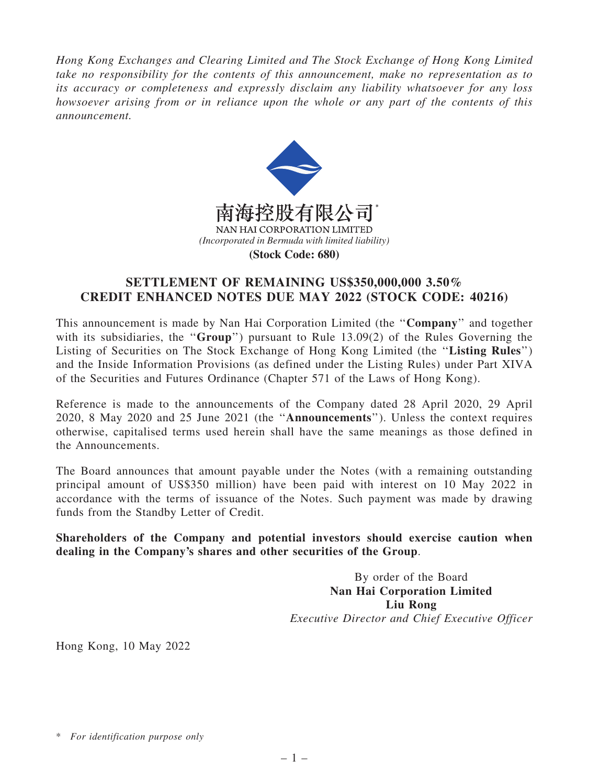*Hong Kong Exchanges and Clearing Limited and The Stock Exchange of Hong Kong Limited take no responsibility for the contents of this announcement, make no representation as to its accuracy or completeness and expressly disclaim any liability whatsoever for any loss howsoever arising from or in reliance upon the whole or any part of the contents of this announcement.*



## SETTLEMENT OF REMAINING US\$350,000,000 3.50% CREDIT ENHANCED NOTES DUE MAY 2022 (STOCK CODE: 40216)

This announcement is made by Nan Hai Corporation Limited (the ''Company'' and together with its subsidiaries, the "Group") pursuant to Rule 13.09(2) of the Rules Governing the Listing of Securities on The Stock Exchange of Hong Kong Limited (the "Listing Rules") and the Inside Information Provisions (as defined under the Listing Rules) under Part XIVA of the Securities and Futures Ordinance (Chapter 571 of the Laws of Hong Kong).

Reference is made to the announcements of the Company dated 28 April 2020, 29 April 2020, 8 May 2020 and 25 June 2021 (the ''Announcements''). Unless the context requires otherwise, capitalised terms used herein shall have the same meanings as those defined in the Announcements.

The Board announces that amount payable under the Notes (with a remaining outstanding principal amount of US\$350 million) have been paid with interest on 10 May 2022 in accordance with the terms of issuance of the Notes. Such payment was made by drawing funds from the Standby Letter of Credit.

Shareholders of the Company and potential investors should exercise caution when dealing in the Company's shares and other securities of the Group.

> By order of the Board Nan Hai Corporation Limited Liu Rong *Executive Director and Chief Executive Officer*

Hong Kong, 10 May 2022

<sup>\*</sup> *For identification purpose only*